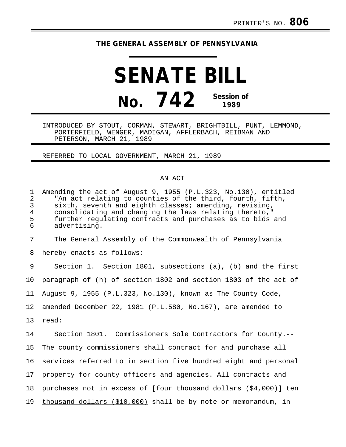## **THE GENERAL ASSEMBLY OF PENNSYLVANIA**

**SENATE BILL No. 742 Session of 1989**

INTRODUCED BY STOUT, CORMAN, STEWART, BRIGHTBILL, PUNT, LEMMOND, PORTERFIELD, WENGER, MADIGAN, AFFLERBACH, REIBMAN AND PETERSON, MARCH 21, 1989

REFERRED TO LOCAL GOVERNMENT, MARCH 21, 1989

## AN ACT

| $\mathbf 1$<br>$\overline{a}$<br>$\mathfrak{Z}$<br>$\overline{4}$<br>5<br>6 | Amending the act of August 9, 1955 (P.L.323, No.130), entitled<br>"An act relating to counties of the third, fourth, fifth,<br>sixth, seventh and eighth classes; amending, revising,<br>consolidating and changing the laws relating thereto,"<br>further regulating contracts and purchases as to bids and<br>advertising. |
|-----------------------------------------------------------------------------|------------------------------------------------------------------------------------------------------------------------------------------------------------------------------------------------------------------------------------------------------------------------------------------------------------------------------|
| 7                                                                           | The General Assembly of the Commonwealth of Pennsylvania                                                                                                                                                                                                                                                                     |
| 8                                                                           | hereby enacts as follows:                                                                                                                                                                                                                                                                                                    |
| 9                                                                           | Section 1. Section 1801, subsections $(a)$ , $(b)$ and the first                                                                                                                                                                                                                                                             |
| 10                                                                          | paragraph of (h) of section 1802 and section 1803 of the act of                                                                                                                                                                                                                                                              |
| 11                                                                          | August 9, 1955 (P.L.323, No.130), known as The County Code,                                                                                                                                                                                                                                                                  |
| 12                                                                          | amended December 22, 1981 (P.L.580, No.167), are amended to                                                                                                                                                                                                                                                                  |
| 13                                                                          | read:                                                                                                                                                                                                                                                                                                                        |
| 14                                                                          | Section 1801. Commissioners Sole Contractors for County.--                                                                                                                                                                                                                                                                   |
| 15                                                                          | The county commissioners shall contract for and purchase all                                                                                                                                                                                                                                                                 |
| 16                                                                          | services referred to in section five hundred eight and personal                                                                                                                                                                                                                                                              |
| 17                                                                          | property for county officers and agencies. All contracts and                                                                                                                                                                                                                                                                 |
| 18                                                                          | purchases not in excess of [four thousand dollars $(54,000)$ ] ten                                                                                                                                                                                                                                                           |
| 19                                                                          | thousand dollars (\$10,000) shall be by note or memorandum, in                                                                                                                                                                                                                                                               |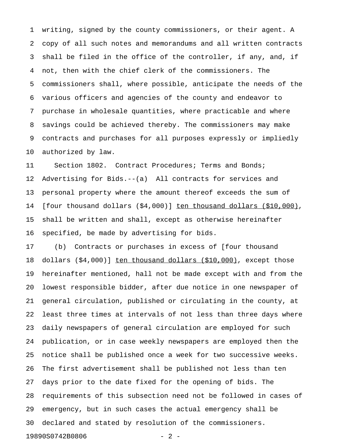1 writing, signed by the county commissioners, or their agent. A 2 copy of all such notes and memorandums and all written contracts 3 shall be filed in the office of the controller, if any, and, if 4 not, then with the chief clerk of the commissioners. The 5 commissioners shall, where possible, anticipate the needs of the 6 various officers and agencies of the county and endeavor to 7 purchase in wholesale quantities, where practicable and where 8 savings could be achieved thereby. The commissioners may make 9 contracts and purchases for all purposes expressly or impliedly 10 authorized by law.

11 Section 1802. Contract Procedures; Terms and Bonds; 12 Advertising for Bids.--(a) All contracts for services and 13 personal property where the amount thereof exceeds the sum of 14 [four thousand dollars (\$4,000)] ten thousand dollars (\$10,000), 15 shall be written and shall, except as otherwise hereinafter 16 specified, be made by advertising for bids.

17 (b) Contracts or purchases in excess of [four thousand 18 dollars (\$4,000)] ten thousand dollars (\$10,000), except those 19 hereinafter mentioned, hall not be made except with and from the 20 lowest responsible bidder, after due notice in one newspaper of 21 general circulation, published or circulating in the county, at 22 least three times at intervals of not less than three days where 23 daily newspapers of general circulation are employed for such 24 publication, or in case weekly newspapers are employed then the 25 notice shall be published once a week for two successive weeks. 26 The first advertisement shall be published not less than ten 27 days prior to the date fixed for the opening of bids. The 28 requirements of this subsection need not be followed in cases of 29 emergency, but in such cases the actual emergency shall be 30 declared and stated by resolution of the commissioners. 19890S0742B0806 - 2 -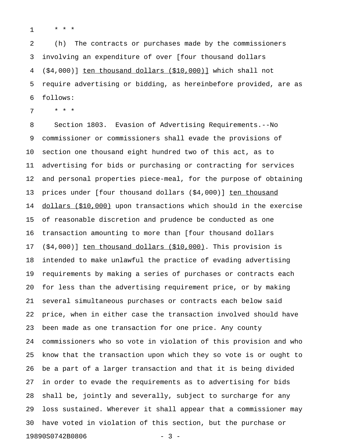1 \* \* \*

2 (h) The contracts or purchases made by the commissioners 3 involving an expenditure of over [four thousand dollars  $4$   $(\frac{54,000}{\pi})$  ten thousand dollars  $(\frac{510,000}{\pi})$  which shall not 5 require advertising or bidding, as hereinbefore provided, are as 6 follows:

7 \* \* \*

8 Section 1803. Evasion of Advertising Requirements.--No 9 commissioner or commissioners shall evade the provisions of 10 section one thousand eight hundred two of this act, as to 11 advertising for bids or purchasing or contracting for services 12 and personal properties piece-meal, for the purpose of obtaining 13 prices under [four thousand dollars (\$4,000)] ten thousand 14 dollars (\$10,000) upon transactions which should in the exercise 15 of reasonable discretion and prudence be conducted as one 16 transaction amounting to more than [four thousand dollars 17 (\$4,000)] ten thousand dollars (\$10,000). This provision is 18 intended to make unlawful the practice of evading advertising 19 requirements by making a series of purchases or contracts each 20 for less than the advertising requirement price, or by making 21 several simultaneous purchases or contracts each below said 22 price, when in either case the transaction involved should have 23 been made as one transaction for one price. Any county 24 commissioners who so vote in violation of this provision and who 25 know that the transaction upon which they so vote is or ought to 26 be a part of a larger transaction and that it is being divided 27 in order to evade the requirements as to advertising for bids 28 shall be, jointly and severally, subject to surcharge for any 29 loss sustained. Wherever it shall appear that a commissioner may 30 have voted in violation of this section, but the purchase or 19890S0742B0806 - 3 -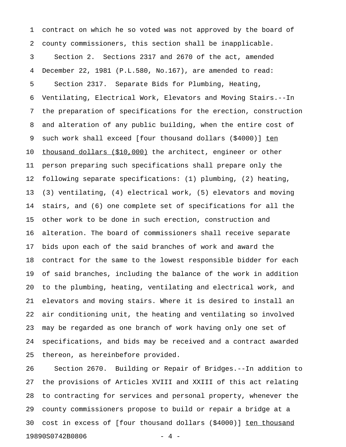1 contract on which he so voted was not approved by the board of 2 county commissioners, this section shall be inapplicable. 3 Section 2. Sections 2317 and 2670 of the act, amended 4 December 22, 1981 (P.L.580, No.167), are amended to read: 5 Section 2317. Separate Bids for Plumbing, Heating, 6 Ventilating, Electrical Work, Elevators and Moving Stairs.--In 7 the preparation of specifications for the erection, construction 8 and alteration of any public building, when the entire cost of 9 such work shall exceed [four thousand dollars (\$4000)] ten 10 thousand dollars (\$10,000) the architect, engineer or other 11 person preparing such specifications shall prepare only the 12 following separate specifications: (1) plumbing, (2) heating, 13 (3) ventilating, (4) electrical work, (5) elevators and moving 14 stairs, and (6) one complete set of specifications for all the 15 other work to be done in such erection, construction and 16 alteration. The board of commissioners shall receive separate 17 bids upon each of the said branches of work and award the 18 contract for the same to the lowest responsible bidder for each 19 of said branches, including the balance of the work in addition 20 to the plumbing, heating, ventilating and electrical work, and 21 elevators and moving stairs. Where it is desired to install an 22 air conditioning unit, the heating and ventilating so involved 23 may be regarded as one branch of work having only one set of 24 specifications, and bids may be received and a contract awarded 25 thereon, as hereinbefore provided.

26 Section 2670. Building or Repair of Bridges.--In addition to 27 the provisions of Articles XVIII and XXIII of this act relating 28 to contracting for services and personal property, whenever the 29 county commissioners propose to build or repair a bridge at a 30 cost in excess of [four thousand dollars (\$4000)] ten thousand \_\_\_\_\_\_\_\_\_\_\_\_ 19890S0742B0806 - 4 -